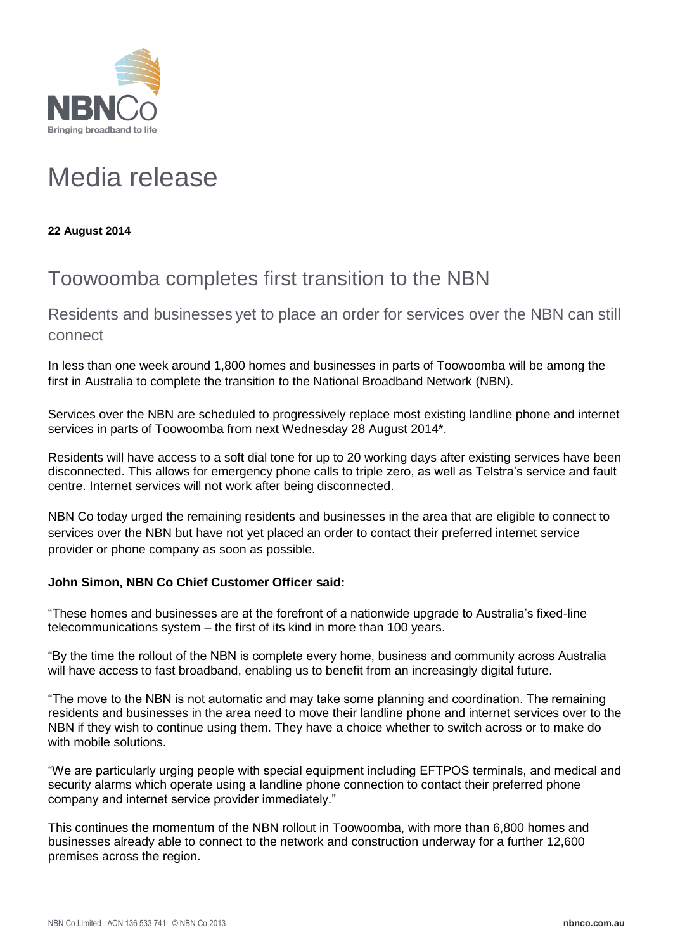

# Media release

**22 August 2014**

## Toowoomba completes first transition to the NBN

Residents and businesses yet to place an order for services over the NBN can still connect

In less than one week around 1,800 homes and businesses in parts of Toowoomba will be among the first in Australia to complete the transition to the National Broadband Network (NBN).

Services over the NBN are scheduled to progressively replace most existing landline phone and internet services in parts of Toowoomba from next Wednesday 28 August 2014\*.

Residents will have access to a soft dial tone for up to 20 working days after existing services have been disconnected. This allows for emergency phone calls to triple zero, as well as Telstra's service and fault centre. Internet services will not work after being disconnected.

NBN Co today urged the remaining residents and businesses in the area that are eligible to connect to services over the NBN but have not yet placed an order to contact their preferred internet service provider or phone company as soon as possible.

### **John Simon, NBN Co Chief Customer Officer said:**

"These homes and businesses are at the forefront of a nationwide upgrade to Australia's fixed-line telecommunications system – the first of its kind in more than 100 years.

"By the time the rollout of the NBN is complete every home, business and community across Australia will have access to fast broadband, enabling us to benefit from an increasingly digital future.

"The move to the NBN is not automatic and may take some planning and coordination. The remaining residents and businesses in the area need to move their landline phone and internet services over to the NBN if they wish to continue using them. They have a choice whether to switch across or to make do with mobile solutions.

"We are particularly urging people with special equipment including EFTPOS terminals, and medical and security alarms which operate using a landline phone connection to contact their preferred phone company and internet service provider immediately."

This continues the momentum of the NBN rollout in Toowoomba, with more than 6,800 homes and businesses already able to connect to the network and construction underway for a further 12,600 premises across the region.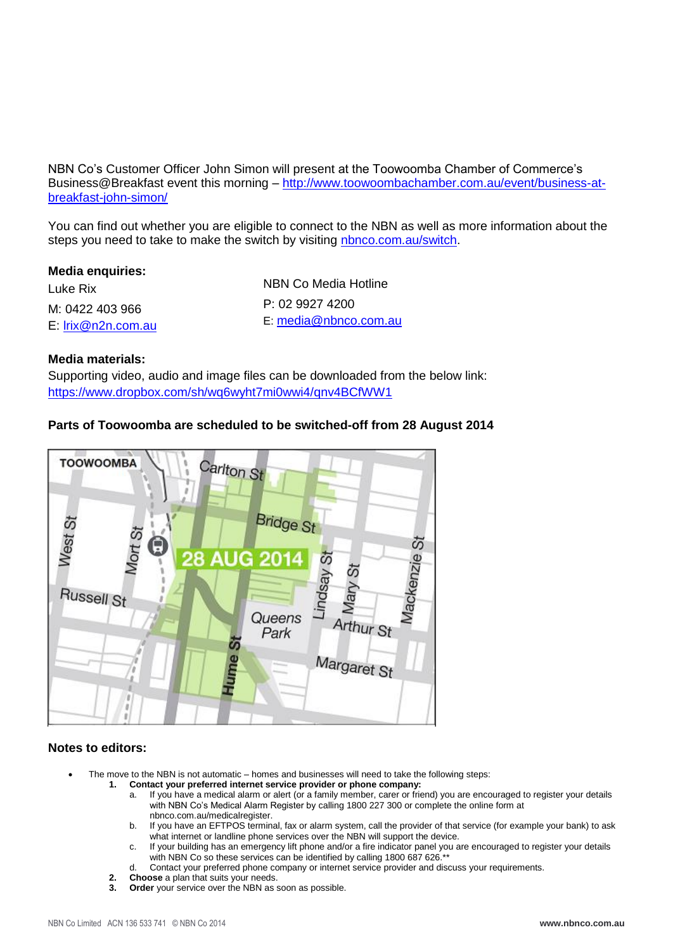NBN Co's Customer Officer John Simon will present at the Toowoomba Chamber of Commerce's Business@Breakfast event this morning – [http://www.toowoombachamber.com.au/event/business-at](http://www.toowoombachamber.com.au/event/business-at-breakfast-john-simon/)[breakfast-john-simon/](http://www.toowoombachamber.com.au/event/business-at-breakfast-john-simon/)

You can find out whether you are eligible to connect to the NBN as well as more information about the steps you need to take to make the switch by visiting [nbnco.com.au/switch.](http://www.nbnco.com.au/switch)

#### **Media enquiries:**

Luke Rix M: 0422 403 966 E: [lrix@n2n.com.au](mailto:lrix@n2n.com.au) NBN Co Media Hotline P: 02 9927 4200 E: [media@nbnco.com.au](mailto:media@nbnco.com.au)

#### **Media materials:**

Supporting video, audio and image files can be downloaded from the below link: <https://www.dropbox.com/sh/wq6wyht7mi0wwi4/qnv4BCfWW1>

#### **Parts of Toowoomba are scheduled to be switched-off from 28 August 2014**



#### **Notes to editors:**

- The move to the NBN is not automatic homes and businesses will need to take the following steps:
	- **1. Contact your preferred internet service provider or phone company:** 
		- a. If you have a medical alarm or alert (or a family member, carer or friend) you are encouraged to register your details with NBN Co's Medical Alarm Register by calling 1800 227 300 or complete the online form at [nbnco.com.au/medicalregister.](http://www.nbnco.com.au/medicalregister)
		- b. If you have an EFTPOS terminal, fax or alarm system, call the provider of that service (for example your bank) to ask what internet or landline phone services over the NBN will support the device.
		- c. If your building has an emergency lift phone and/or a fire indicator panel you are encouraged to register your details with NBN Co so these services can be identified by calling 1800 687 626.\*\*
		- d. Contact your preferred phone company or internet service provider and discuss your requirements.
		- **2. Choose** a plan that suits your needs.
		- **3. Order** your service over the NBN as soon as possible.